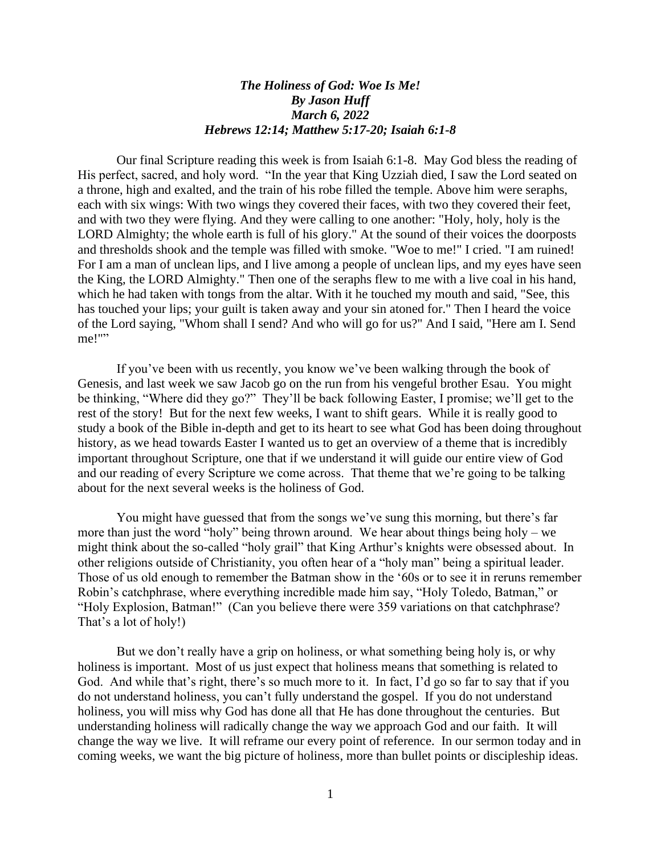## *The Holiness of God: Woe Is Me! By Jason Huff March 6, 2022 Hebrews 12:14; Matthew 5:17-20; Isaiah 6:1-8*

Our final Scripture reading this week is from Isaiah 6:1-8. May God bless the reading of His perfect, sacred, and holy word. "In the year that King Uzziah died, I saw the Lord seated on a throne, high and exalted, and the train of his robe filled the temple. Above him were seraphs, each with six wings: With two wings they covered their faces, with two they covered their feet, and with two they were flying. And they were calling to one another: "Holy, holy, holy is the LORD Almighty; the whole earth is full of his glory." At the sound of their voices the doorposts and thresholds shook and the temple was filled with smoke. "Woe to me!" I cried. "I am ruined! For I am a man of unclean lips, and I live among a people of unclean lips, and my eyes have seen the King, the LORD Almighty." Then one of the seraphs flew to me with a live coal in his hand, which he had taken with tongs from the altar. With it he touched my mouth and said, "See, this has touched your lips; your guilt is taken away and your sin atoned for." Then I heard the voice of the Lord saying, "Whom shall I send? And who will go for us?" And I said, "Here am I. Send me!""

If you've been with us recently, you know we've been walking through the book of Genesis, and last week we saw Jacob go on the run from his vengeful brother Esau. You might be thinking, "Where did they go?" They'll be back following Easter, I promise; we'll get to the rest of the story! But for the next few weeks, I want to shift gears. While it is really good to study a book of the Bible in-depth and get to its heart to see what God has been doing throughout history, as we head towards Easter I wanted us to get an overview of a theme that is incredibly important throughout Scripture, one that if we understand it will guide our entire view of God and our reading of every Scripture we come across. That theme that we're going to be talking about for the next several weeks is the holiness of God.

You might have guessed that from the songs we've sung this morning, but there's far more than just the word "holy" being thrown around. We hear about things being holy – we might think about the so-called "holy grail" that King Arthur's knights were obsessed about. In other religions outside of Christianity, you often hear of a "holy man" being a spiritual leader. Those of us old enough to remember the Batman show in the '60s or to see it in reruns remember Robin's catchphrase, where everything incredible made him say, "Holy Toledo, Batman," or "Holy Explosion, Batman!" (Can you believe there were 359 variations on that catchphrase? That's a lot of holy!)

But we don't really have a grip on holiness, or what something being holy is, or why holiness is important. Most of us just expect that holiness means that something is related to God. And while that's right, there's so much more to it. In fact, I'd go so far to say that if you do not understand holiness, you can't fully understand the gospel. If you do not understand holiness, you will miss why God has done all that He has done throughout the centuries. But understanding holiness will radically change the way we approach God and our faith. It will change the way we live. It will reframe our every point of reference. In our sermon today and in coming weeks, we want the big picture of holiness, more than bullet points or discipleship ideas.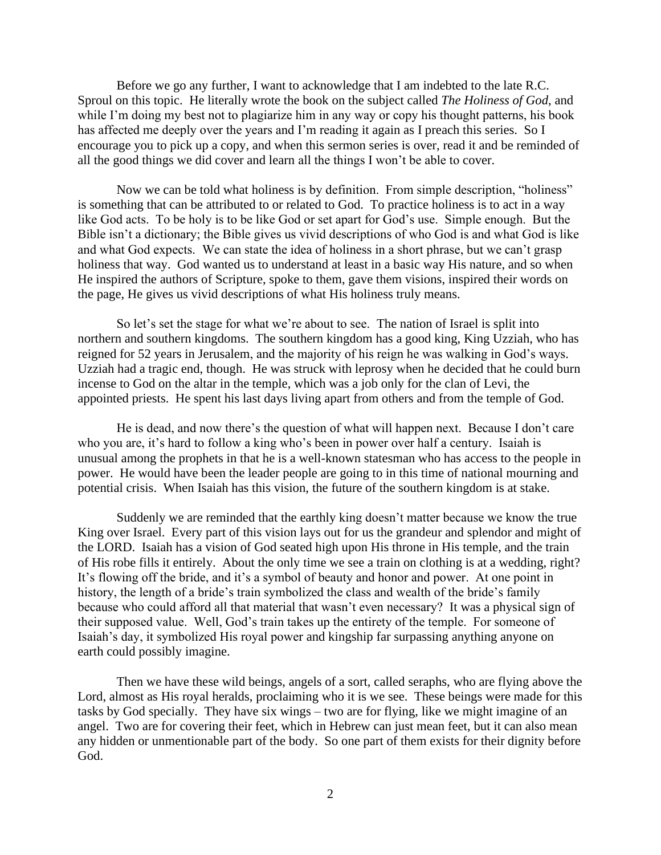Before we go any further, I want to acknowledge that I am indebted to the late R.C. Sproul on this topic. He literally wrote the book on the subject called *The Holiness of God*, and while I'm doing my best not to plagiarize him in any way or copy his thought patterns, his book has affected me deeply over the years and I'm reading it again as I preach this series. So I encourage you to pick up a copy, and when this sermon series is over, read it and be reminded of all the good things we did cover and learn all the things I won't be able to cover.

Now we can be told what holiness is by definition. From simple description, "holiness" is something that can be attributed to or related to God. To practice holiness is to act in a way like God acts. To be holy is to be like God or set apart for God's use. Simple enough. But the Bible isn't a dictionary; the Bible gives us vivid descriptions of who God is and what God is like and what God expects. We can state the idea of holiness in a short phrase, but we can't grasp holiness that way. God wanted us to understand at least in a basic way His nature, and so when He inspired the authors of Scripture, spoke to them, gave them visions, inspired their words on the page, He gives us vivid descriptions of what His holiness truly means.

So let's set the stage for what we're about to see. The nation of Israel is split into northern and southern kingdoms. The southern kingdom has a good king, King Uzziah, who has reigned for 52 years in Jerusalem, and the majority of his reign he was walking in God's ways. Uzziah had a tragic end, though. He was struck with leprosy when he decided that he could burn incense to God on the altar in the temple, which was a job only for the clan of Levi, the appointed priests. He spent his last days living apart from others and from the temple of God.

He is dead, and now there's the question of what will happen next. Because I don't care who you are, it's hard to follow a king who's been in power over half a century. Isaiah is unusual among the prophets in that he is a well-known statesman who has access to the people in power. He would have been the leader people are going to in this time of national mourning and potential crisis. When Isaiah has this vision, the future of the southern kingdom is at stake.

Suddenly we are reminded that the earthly king doesn't matter because we know the true King over Israel. Every part of this vision lays out for us the grandeur and splendor and might of the LORD. Isaiah has a vision of God seated high upon His throne in His temple, and the train of His robe fills it entirely. About the only time we see a train on clothing is at a wedding, right? It's flowing off the bride, and it's a symbol of beauty and honor and power. At one point in history, the length of a bride's train symbolized the class and wealth of the bride's family because who could afford all that material that wasn't even necessary? It was a physical sign of their supposed value. Well, God's train takes up the entirety of the temple. For someone of Isaiah's day, it symbolized His royal power and kingship far surpassing anything anyone on earth could possibly imagine.

Then we have these wild beings, angels of a sort, called seraphs, who are flying above the Lord, almost as His royal heralds, proclaiming who it is we see. These beings were made for this tasks by God specially. They have six wings – two are for flying, like we might imagine of an angel. Two are for covering their feet, which in Hebrew can just mean feet, but it can also mean any hidden or unmentionable part of the body. So one part of them exists for their dignity before God.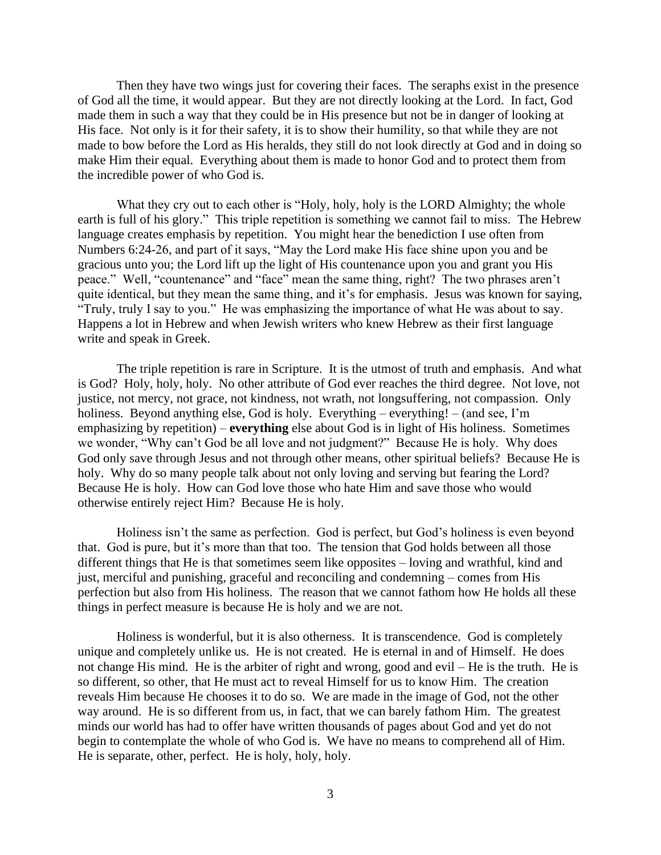Then they have two wings just for covering their faces. The seraphs exist in the presence of God all the time, it would appear. But they are not directly looking at the Lord. In fact, God made them in such a way that they could be in His presence but not be in danger of looking at His face. Not only is it for their safety, it is to show their humility, so that while they are not made to bow before the Lord as His heralds, they still do not look directly at God and in doing so make Him their equal. Everything about them is made to honor God and to protect them from the incredible power of who God is.

What they cry out to each other is "Holy, holy, holy is the LORD Almighty; the whole earth is full of his glory." This triple repetition is something we cannot fail to miss. The Hebrew language creates emphasis by repetition. You might hear the benediction I use often from Numbers 6:24-26, and part of it says, "May the Lord make His face shine upon you and be gracious unto you; the Lord lift up the light of His countenance upon you and grant you His peace." Well, "countenance" and "face" mean the same thing, right? The two phrases aren't quite identical, but they mean the same thing, and it's for emphasis. Jesus was known for saying, "Truly, truly I say to you." He was emphasizing the importance of what He was about to say. Happens a lot in Hebrew and when Jewish writers who knew Hebrew as their first language write and speak in Greek.

The triple repetition is rare in Scripture. It is the utmost of truth and emphasis. And what is God? Holy, holy, holy. No other attribute of God ever reaches the third degree. Not love, not justice, not mercy, not grace, not kindness, not wrath, not longsuffering, not compassion. Only holiness. Beyond anything else, God is holy. Everything – everything! – (and see, I'm emphasizing by repetition) – **everything** else about God is in light of His holiness. Sometimes we wonder, "Why can't God be all love and not judgment?" Because He is holy. Why does God only save through Jesus and not through other means, other spiritual beliefs? Because He is holy. Why do so many people talk about not only loving and serving but fearing the Lord? Because He is holy. How can God love those who hate Him and save those who would otherwise entirely reject Him? Because He is holy.

Holiness isn't the same as perfection. God is perfect, but God's holiness is even beyond that. God is pure, but it's more than that too. The tension that God holds between all those different things that He is that sometimes seem like opposites – loving and wrathful, kind and just, merciful and punishing, graceful and reconciling and condemning – comes from His perfection but also from His holiness. The reason that we cannot fathom how He holds all these things in perfect measure is because He is holy and we are not.

Holiness is wonderful, but it is also otherness. It is transcendence. God is completely unique and completely unlike us. He is not created. He is eternal in and of Himself. He does not change His mind. He is the arbiter of right and wrong, good and evil – He is the truth. He is so different, so other, that He must act to reveal Himself for us to know Him. The creation reveals Him because He chooses it to do so. We are made in the image of God, not the other way around. He is so different from us, in fact, that we can barely fathom Him. The greatest minds our world has had to offer have written thousands of pages about God and yet do not begin to contemplate the whole of who God is. We have no means to comprehend all of Him. He is separate, other, perfect. He is holy, holy, holy.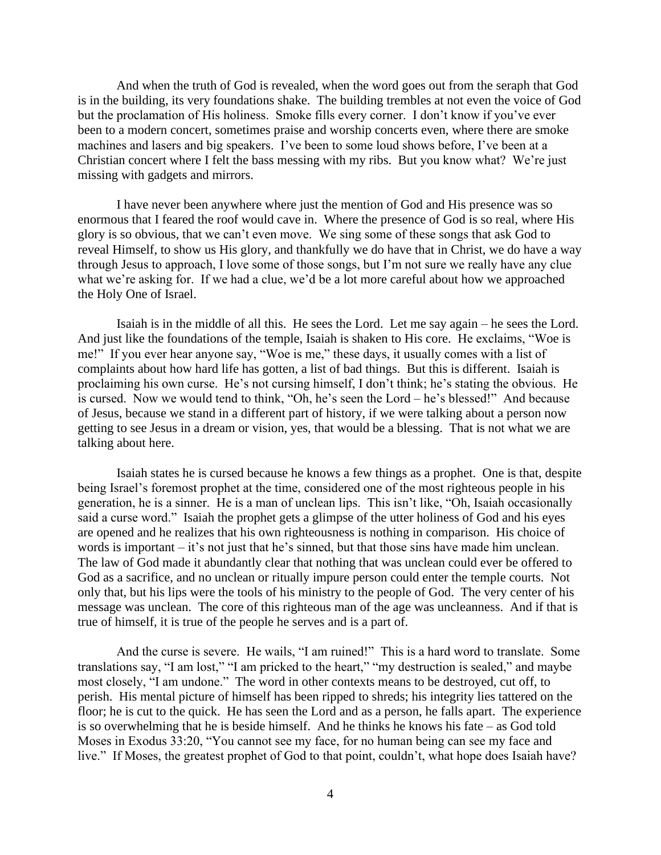And when the truth of God is revealed, when the word goes out from the seraph that God is in the building, its very foundations shake. The building trembles at not even the voice of God but the proclamation of His holiness. Smoke fills every corner. I don't know if you've ever been to a modern concert, sometimes praise and worship concerts even, where there are smoke machines and lasers and big speakers. I've been to some loud shows before, I've been at a Christian concert where I felt the bass messing with my ribs. But you know what? We're just missing with gadgets and mirrors.

I have never been anywhere where just the mention of God and His presence was so enormous that I feared the roof would cave in. Where the presence of God is so real, where His glory is so obvious, that we can't even move. We sing some of these songs that ask God to reveal Himself, to show us His glory, and thankfully we do have that in Christ, we do have a way through Jesus to approach, I love some of those songs, but I'm not sure we really have any clue what we're asking for. If we had a clue, we'd be a lot more careful about how we approached the Holy One of Israel.

Isaiah is in the middle of all this. He sees the Lord. Let me say again – he sees the Lord. And just like the foundations of the temple, Isaiah is shaken to His core. He exclaims, "Woe is me!" If you ever hear anyone say, "Woe is me," these days, it usually comes with a list of complaints about how hard life has gotten, a list of bad things. But this is different. Isaiah is proclaiming his own curse. He's not cursing himself, I don't think; he's stating the obvious. He is cursed. Now we would tend to think, "Oh, he's seen the Lord – he's blessed!" And because of Jesus, because we stand in a different part of history, if we were talking about a person now getting to see Jesus in a dream or vision, yes, that would be a blessing. That is not what we are talking about here.

Isaiah states he is cursed because he knows a few things as a prophet. One is that, despite being Israel's foremost prophet at the time, considered one of the most righteous people in his generation, he is a sinner. He is a man of unclean lips. This isn't like, "Oh, Isaiah occasionally said a curse word." Isaiah the prophet gets a glimpse of the utter holiness of God and his eyes are opened and he realizes that his own righteousness is nothing in comparison. His choice of words is important – it's not just that he's sinned, but that those sins have made him unclean. The law of God made it abundantly clear that nothing that was unclean could ever be offered to God as a sacrifice, and no unclean or ritually impure person could enter the temple courts. Not only that, but his lips were the tools of his ministry to the people of God. The very center of his message was unclean. The core of this righteous man of the age was uncleanness. And if that is true of himself, it is true of the people he serves and is a part of.

And the curse is severe. He wails, "I am ruined!" This is a hard word to translate. Some translations say, "I am lost," "I am pricked to the heart," "my destruction is sealed," and maybe most closely, "I am undone." The word in other contexts means to be destroyed, cut off, to perish. His mental picture of himself has been ripped to shreds; his integrity lies tattered on the floor; he is cut to the quick. He has seen the Lord and as a person, he falls apart. The experience is so overwhelming that he is beside himself. And he thinks he knows his fate – as God told Moses in Exodus 33:20, "You cannot see my face, for no human being can see my face and live." If Moses, the greatest prophet of God to that point, couldn't, what hope does Isaiah have?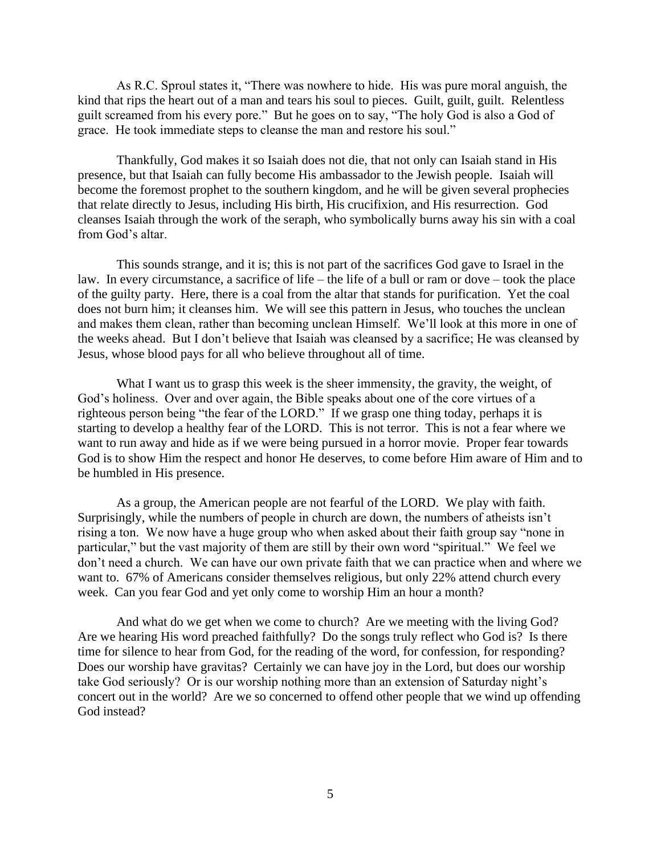As R.C. Sproul states it, "There was nowhere to hide. His was pure moral anguish, the kind that rips the heart out of a man and tears his soul to pieces. Guilt, guilt, guilt. Relentless guilt screamed from his every pore." But he goes on to say, "The holy God is also a God of grace. He took immediate steps to cleanse the man and restore his soul."

Thankfully, God makes it so Isaiah does not die, that not only can Isaiah stand in His presence, but that Isaiah can fully become His ambassador to the Jewish people. Isaiah will become the foremost prophet to the southern kingdom, and he will be given several prophecies that relate directly to Jesus, including His birth, His crucifixion, and His resurrection. God cleanses Isaiah through the work of the seraph, who symbolically burns away his sin with a coal from God's altar.

This sounds strange, and it is; this is not part of the sacrifices God gave to Israel in the law. In every circumstance, a sacrifice of life – the life of a bull or ram or dove – took the place of the guilty party. Here, there is a coal from the altar that stands for purification. Yet the coal does not burn him; it cleanses him. We will see this pattern in Jesus, who touches the unclean and makes them clean, rather than becoming unclean Himself. We'll look at this more in one of the weeks ahead. But I don't believe that Isaiah was cleansed by a sacrifice; He was cleansed by Jesus, whose blood pays for all who believe throughout all of time.

What I want us to grasp this week is the sheer immensity, the gravity, the weight, of God's holiness. Over and over again, the Bible speaks about one of the core virtues of a righteous person being "the fear of the LORD." If we grasp one thing today, perhaps it is starting to develop a healthy fear of the LORD. This is not terror. This is not a fear where we want to run away and hide as if we were being pursued in a horror movie. Proper fear towards God is to show Him the respect and honor He deserves, to come before Him aware of Him and to be humbled in His presence.

As a group, the American people are not fearful of the LORD. We play with faith. Surprisingly, while the numbers of people in church are down, the numbers of atheists isn't rising a ton. We now have a huge group who when asked about their faith group say "none in particular," but the vast majority of them are still by their own word "spiritual." We feel we don't need a church. We can have our own private faith that we can practice when and where we want to. 67% of Americans consider themselves religious, but only 22% attend church every week. Can you fear God and yet only come to worship Him an hour a month?

And what do we get when we come to church? Are we meeting with the living God? Are we hearing His word preached faithfully? Do the songs truly reflect who God is? Is there time for silence to hear from God, for the reading of the word, for confession, for responding? Does our worship have gravitas? Certainly we can have joy in the Lord, but does our worship take God seriously? Or is our worship nothing more than an extension of Saturday night's concert out in the world? Are we so concerned to offend other people that we wind up offending God instead?